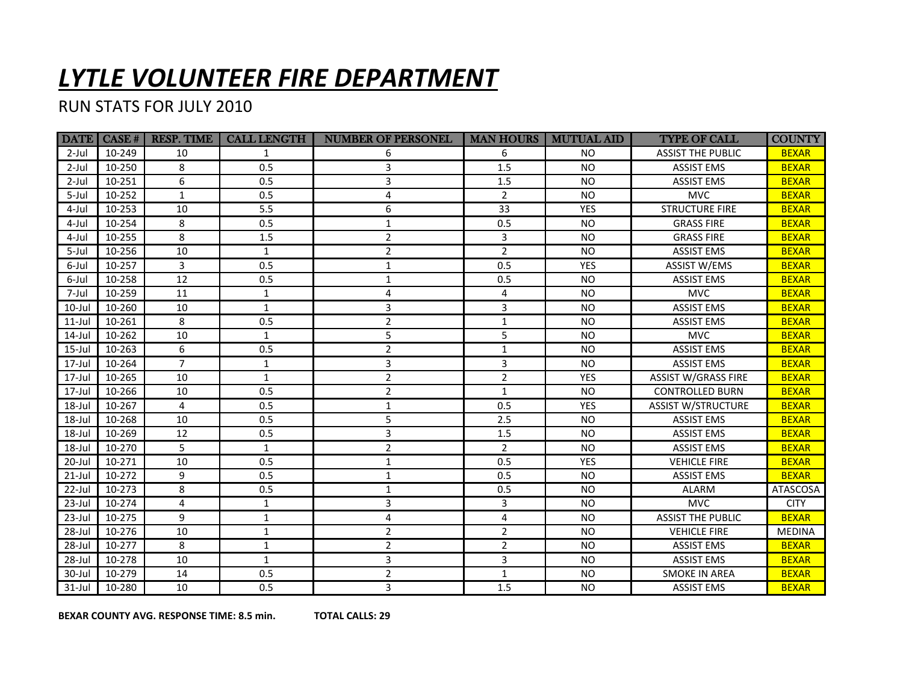## *LYTLE VOLUNTEER FIRE DEPARTMENT*

## RUN STATS FOR JULY 2010

|           |        | <b>DATE   CASE #   RESP. TIME</b> | <b>CALL LENGTH</b> | <b>NUMBER OF PERSONEL</b> | <b>MAN HOURS</b> | <b>MUTUAL AID</b> | <b>TYPE OF CALL</b>        | <b>COUNTY</b>   |
|-----------|--------|-----------------------------------|--------------------|---------------------------|------------------|-------------------|----------------------------|-----------------|
| $2$ -Jul  | 10-249 | 10                                | 1                  | 6                         | 6                | <b>NO</b>         | <b>ASSIST THE PUBLIC</b>   | <b>BEXAR</b>    |
| $2$ -Jul  | 10-250 | 8                                 | 0.5                | 3                         | 1.5              | <b>NO</b>         | <b>ASSIST EMS</b>          | <b>BEXAR</b>    |
| $2$ -Jul  | 10-251 | 6                                 | 0.5                | 3                         | 1.5              | <b>NO</b>         | <b>ASSIST EMS</b>          | <b>BEXAR</b>    |
| 5-Jul     | 10-252 | $\mathbf{1}$                      | 0.5                | 4                         | $\overline{2}$   | <b>NO</b>         | <b>MVC</b>                 | <b>BEXAR</b>    |
| 4-Jul     | 10-253 | 10                                | 5.5                | 6                         | 33               | <b>YES</b>        | <b>STRUCTURE FIRE</b>      | <b>BEXAR</b>    |
| 4-Jul     | 10-254 | 8                                 | 0.5                | $\mathbf{1}$              | 0.5              | <b>NO</b>         | <b>GRASS FIRE</b>          | <b>BEXAR</b>    |
| 4-Jul     | 10-255 | 8                                 | 1.5                | $\overline{2}$            | 3                | <b>NO</b>         | <b>GRASS FIRE</b>          | <b>BEXAR</b>    |
| 5-Jul     | 10-256 | 10                                | $\mathbf{1}$       | $\overline{2}$            | $\overline{2}$   | <b>NO</b>         | <b>ASSIST EMS</b>          | <b>BEXAR</b>    |
| 6-Jul     | 10-257 | 3                                 | 0.5                | $\mathbf{1}$              | 0.5              | <b>YES</b>        | <b>ASSIST W/EMS</b>        | <b>BEXAR</b>    |
| 6-Jul     | 10-258 | 12                                | 0.5                | $\mathbf{1}$              | 0.5              | <b>NO</b>         | <b>ASSIST EMS</b>          | <b>BEXAR</b>    |
| 7-Jul     | 10-259 | 11                                | $\mathbf{1}$       | 4                         | 4                | <b>NO</b>         | <b>MVC</b>                 | <b>BEXAR</b>    |
| 10-Jul    | 10-260 | 10                                | $\mathbf{1}$       | 3                         | 3                | <b>NO</b>         | <b>ASSIST EMS</b>          | <b>BEXAR</b>    |
| $11$ -Jul | 10-261 | 8                                 | 0.5                | $\overline{2}$            | $\mathbf{1}$     | <b>NO</b>         | <b>ASSIST EMS</b>          | <b>BEXAR</b>    |
| 14-Jul    | 10-262 | 10                                | $\mathbf{1}$       | 5                         | 5                | <b>NO</b>         | <b>MVC</b>                 | <b>BEXAR</b>    |
| $15$ -Jul | 10-263 | 6                                 | 0.5                | $\overline{2}$            | $\mathbf{1}$     | <b>NO</b>         | <b>ASSIST EMS</b>          | <b>BEXAR</b>    |
| 17-Jul    | 10-264 | $\overline{7}$                    | $\mathbf{1}$       | 3                         | 3                | <b>NO</b>         | <b>ASSIST EMS</b>          | <b>BEXAR</b>    |
| $17$ -Jul | 10-265 | 10                                | $\mathbf{1}$       | $\overline{2}$            | $\overline{2}$   | <b>YES</b>        | <b>ASSIST W/GRASS FIRE</b> | <b>BEXAR</b>    |
| 17-Jul    | 10-266 | 10                                | 0.5                | $\overline{2}$            | $\mathbf{1}$     | <b>NO</b>         | <b>CONTROLLED BURN</b>     | <b>BEXAR</b>    |
| 18-Jul    | 10-267 | 4                                 | 0.5                | $\mathbf{1}$              | 0.5              | <b>YES</b>        | <b>ASSIST W/STRUCTURE</b>  | <b>BEXAR</b>    |
| $18$ -Jul | 10-268 | 10                                | 0.5                | 5                         | 2.5              | <b>NO</b>         | <b>ASSIST EMS</b>          | <b>BEXAR</b>    |
| 18-Jul    | 10-269 | 12                                | 0.5                | 3                         | 1.5              | <b>NO</b>         | <b>ASSIST EMS</b>          | <b>BEXAR</b>    |
| $18$ -Jul | 10-270 | 5                                 | $\mathbf{1}$       | $\overline{2}$            | $\overline{2}$   | <b>NO</b>         | <b>ASSIST EMS</b>          | <b>BEXAR</b>    |
| 20-Jul    | 10-271 | 10                                | 0.5                | $\mathbf{1}$              | 0.5              | <b>YES</b>        | <b>VEHICLE FIRE</b>        | <b>BEXAR</b>    |
| $21$ -Jul | 10-272 | 9                                 | 0.5                | $\mathbf{1}$              | 0.5              | <b>NO</b>         | <b>ASSIST EMS</b>          | <b>BEXAR</b>    |
| 22-Jul    | 10-273 | 8                                 | 0.5                | 1                         | 0.5              | <b>NO</b>         | <b>ALARM</b>               | <b>ATASCOSA</b> |
| $23$ -Jul | 10-274 | 4                                 | $\mathbf{1}$       | 3                         | 3                | <b>NO</b>         | <b>MVC</b>                 | <b>CITY</b>     |
| 23-Jul    | 10-275 | 9                                 | $\mathbf{1}$       | 4                         | 4                | <b>NO</b>         | <b>ASSIST THE PUBLIC</b>   | <b>BEXAR</b>    |
| $28$ -Jul | 10-276 | 10                                | $\mathbf{1}$       | $\overline{2}$            | $\overline{2}$   | <b>NO</b>         | <b>VEHICLE FIRE</b>        | <b>MEDINA</b>   |
| 28-Jul    | 10-277 | 8                                 | $\mathbf{1}$       | $\overline{2}$            | $\overline{2}$   | <b>NO</b>         | <b>ASSIST EMS</b>          | <b>BEXAR</b>    |
| 28-Jul    | 10-278 | 10                                | $\mathbf{1}$       | 3                         | 3                | <b>NO</b>         | <b>ASSIST EMS</b>          | <b>BEXAR</b>    |
| 30-Jul    | 10-279 | 14                                | 0.5                | $\overline{2}$            | $\mathbf{1}$     | <b>NO</b>         | <b>SMOKE IN AREA</b>       | <b>BEXAR</b>    |
| $31$ -Jul | 10-280 | 10                                | 0.5                | 3                         | 1.5              | <b>NO</b>         | <b>ASSIST EMS</b>          | <b>BEXAR</b>    |

**BEXAR COUNTY AVG. RESPONSE TIME: 8.5 min. TOTAL CALLS: 29**